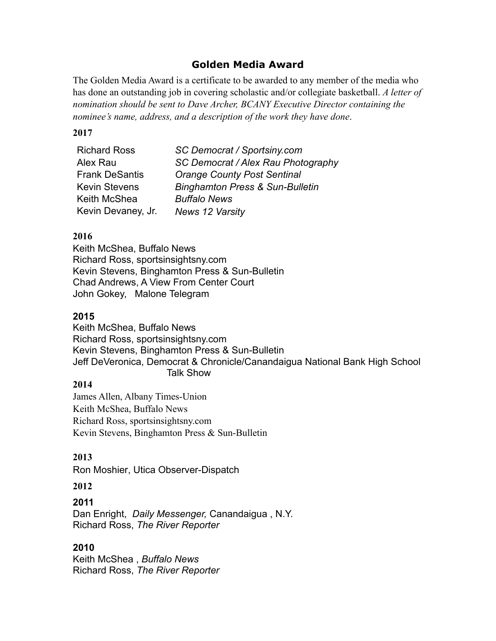# **Golden Media Award**

The Golden Media Award is a certificate to be awarded to any member of the media who has done an outstanding job in covering scholastic and/or collegiate basketball. *A letter of nomination should be sent to Dave Archer, BCANY Executive Director containing the nominee's name, address, and a description of the work they have done*.

#### **2017**

| <b>Richard Ross</b>   | SC Democrat / Sportsiny.com                |
|-----------------------|--------------------------------------------|
| Alex Rau              | SC Democrat / Alex Rau Photography         |
| <b>Frank DeSantis</b> | <b>Orange County Post Sentinal</b>         |
| <b>Kevin Stevens</b>  | <b>Binghamton Press &amp; Sun-Bulletin</b> |
| Keith McShea          | <b>Buffalo News</b>                        |
| Kevin Devaney, Jr.    | <b>News 12 Varsity</b>                     |

### **2016**

Keith McShea, Buffalo News Richard Ross, sportsinsightsny.com Kevin Stevens, Binghamton Press & Sun-Bulletin Chad Andrews, A View From Center Court John Gokey, Malone Telegram

## **2015**

Keith McShea, Buffalo News Richard Ross, sportsinsightsny.com Kevin Stevens, Binghamton Press & Sun-Bulletin Jeff DeVeronica, Democrat & Chronicle/Canandaigua National Bank High School Talk Show

### **2014**

James Allen, Albany Times-Union Keith McShea, Buffalo News Richard Ross, sportsinsightsny.com Kevin Stevens, Binghamton Press & Sun-Bulletin

## **2013**

Ron Moshier, Utica Observer-Dispatch

### **2012**

### **2011**

Dan Enright, *Daily Messenger,* Canandaigua , N.Y. Richard Ross, *The River Reporter*

## **2010**

Keith McShea , *Buffalo News* Richard Ross, *The River Reporter*